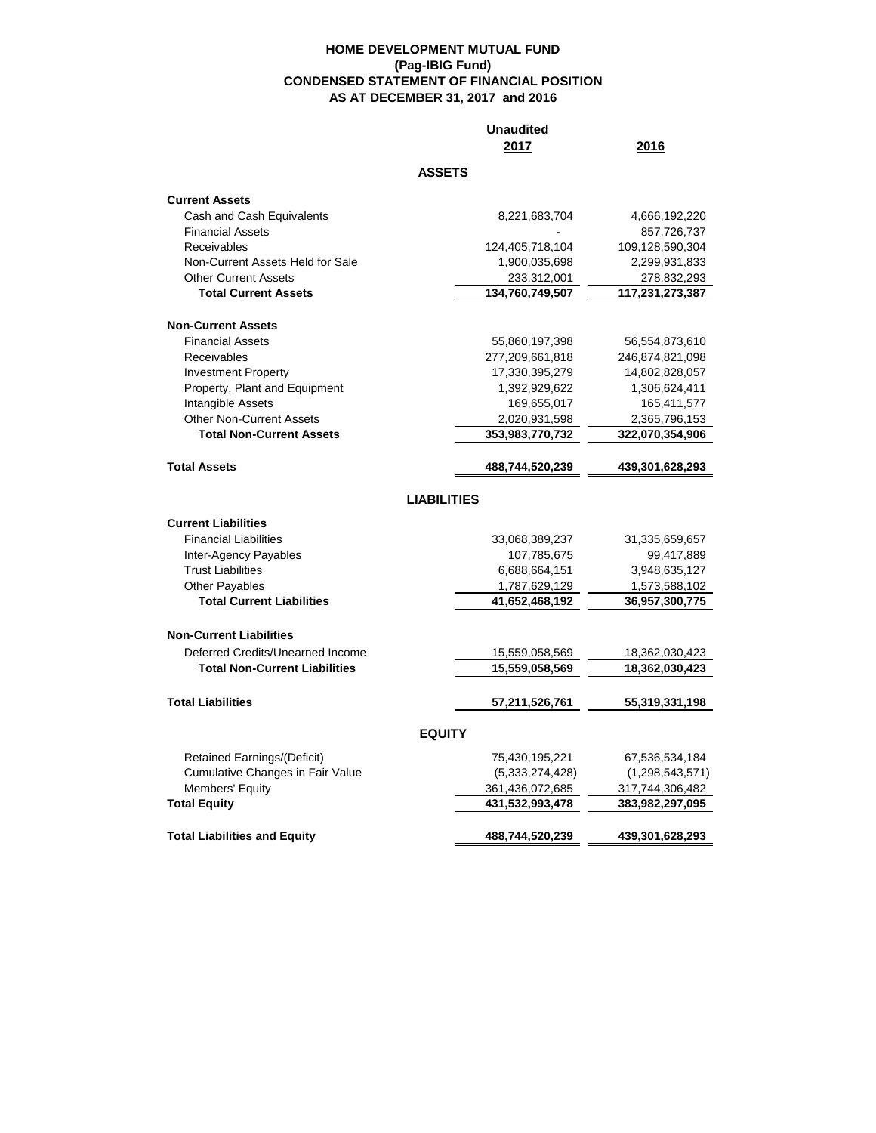## **HOME DEVELOPMENT MUTUAL FUND (Pag-IBIG Fund) CONDENSED STATEMENT OF FINANCIAL POSITION AS AT DECEMBER 31, 2017 and 2016**

|                                         | <b>Unaudited</b><br>2017 | 2016            |  |  |  |  |
|-----------------------------------------|--------------------------|-----------------|--|--|--|--|
| <b>ASSETS</b>                           |                          |                 |  |  |  |  |
| <b>Current Assets</b>                   |                          |                 |  |  |  |  |
| Cash and Cash Equivalents               | 8,221,683,704            | 4,666,192,220   |  |  |  |  |
| <b>Financial Assets</b>                 |                          | 857,726,737     |  |  |  |  |
| Receivables                             | 124,405,718,104          | 109,128,590,304 |  |  |  |  |
| Non-Current Assets Held for Sale        | 1,900,035,698            | 2,299,931,833   |  |  |  |  |
| <b>Other Current Assets</b>             | 233,312,001              | 278,832,293     |  |  |  |  |
| <b>Total Current Assets</b>             | 134,760,749,507          | 117,231,273,387 |  |  |  |  |
| <b>Non-Current Assets</b>               |                          |                 |  |  |  |  |
| <b>Financial Assets</b>                 | 55,860,197,398           | 56,554,873,610  |  |  |  |  |
| Receivables                             | 277,209,661,818          | 246,874,821,098 |  |  |  |  |
| <b>Investment Property</b>              | 17,330,395,279           | 14,802,828,057  |  |  |  |  |
| Property, Plant and Equipment           | 1,392,929,622            | 1,306,624,411   |  |  |  |  |
| Intangible Assets                       | 169,655,017              | 165,411,577     |  |  |  |  |
| <b>Other Non-Current Assets</b>         | 2,020,931,598            | 2,365,796,153   |  |  |  |  |
| <b>Total Non-Current Assets</b>         | 353,983,770,732          | 322,070,354,906 |  |  |  |  |
| <b>Total Assets</b>                     | 488,744,520,239          | 439,301,628,293 |  |  |  |  |
|                                         | <b>LIABILITIES</b>       |                 |  |  |  |  |
| <b>Current Liabilities</b>              |                          |                 |  |  |  |  |
| <b>Financial Liabilities</b>            | 33,068,389,237           | 31,335,659,657  |  |  |  |  |
| Inter-Agency Payables                   | 107,785,675              | 99,417,889      |  |  |  |  |
| <b>Trust Liabilities</b>                | 6,688,664,151            | 3,948,635,127   |  |  |  |  |
| <b>Other Payables</b>                   | 1,787,629,129            | 1,573,588,102   |  |  |  |  |
| <b>Total Current Liabilities</b>        | 41,652,468,192           | 36,957,300,775  |  |  |  |  |
| <b>Non-Current Liabilities</b>          |                          |                 |  |  |  |  |
| Deferred Credits/Unearned Income        | 15,559,058,569           | 18,362,030,423  |  |  |  |  |
| <b>Total Non-Current Liabilities</b>    | 15,559,058,569           | 18,362,030,423  |  |  |  |  |
| <b>Total Liabilities</b>                | 57,211,526,761           | 55,319,331,198  |  |  |  |  |
|                                         |                          |                 |  |  |  |  |
|                                         | <b>EQUITY</b>            |                 |  |  |  |  |
| Retained Earnings/(Deficit)             | 75,430,195,221           | 67,536,534,184  |  |  |  |  |
| <b>Cumulative Changes in Fair Value</b> | (5,333,274,428)          | (1,298,543,571) |  |  |  |  |
| Members' Equity                         | 361,436,072,685          | 317,744,306,482 |  |  |  |  |
| <b>Total Equity</b>                     | 431,532,993,478          | 383,982,297,095 |  |  |  |  |
| <b>Total Liabilities and Equity</b>     | 488,744,520,239          | 439,301,628,293 |  |  |  |  |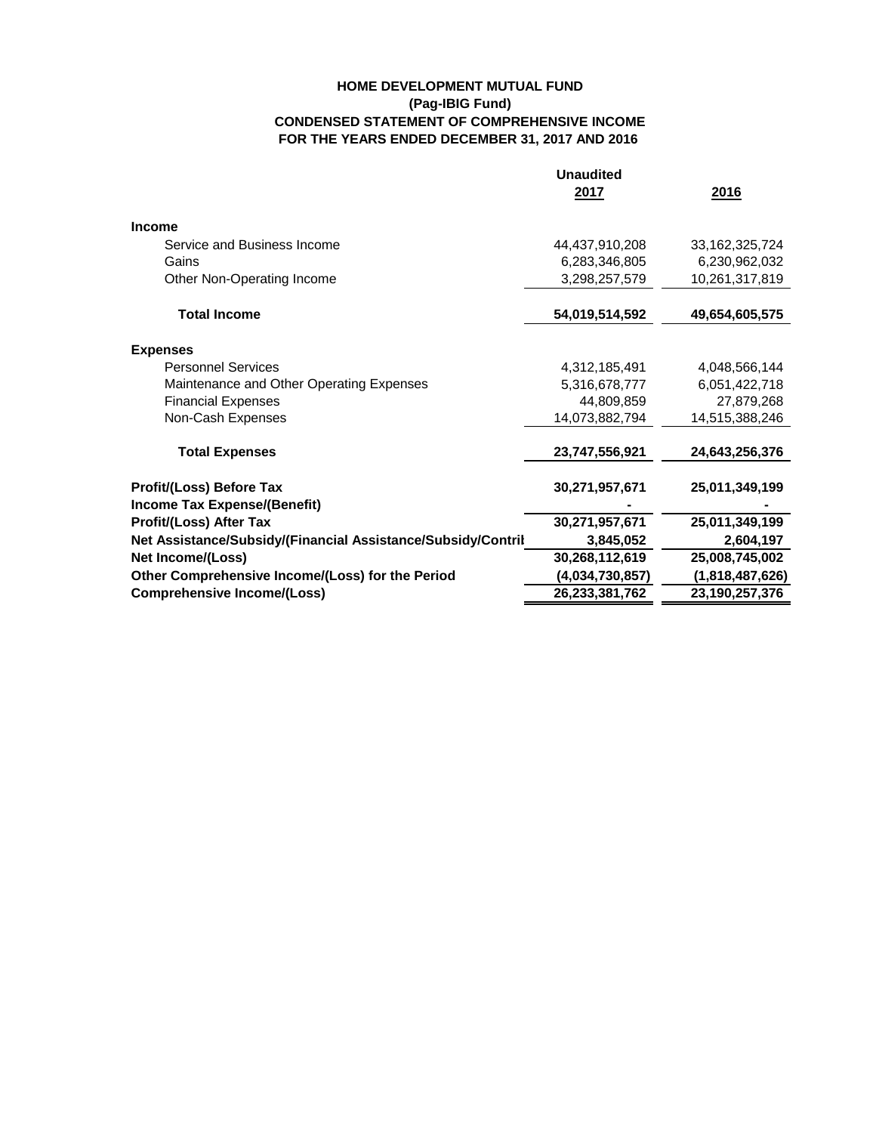## **HOME DEVELOPMENT MUTUAL FUND (Pag-IBIG Fund) CONDENSED STATEMENT OF COMPREHENSIVE INCOME FOR THE YEARS ENDED DECEMBER 31, 2017 AND 2016**

|                                                              | <b>Unaudited</b> |                   |
|--------------------------------------------------------------|------------------|-------------------|
|                                                              | 2017             | 2016              |
| <b>Income</b>                                                |                  |                   |
| Service and Business Income                                  | 44,437,910,208   | 33, 162, 325, 724 |
| Gains                                                        | 6,283,346,805    | 6,230,962,032     |
| Other Non-Operating Income                                   | 3,298,257,579    | 10,261,317,819    |
| <b>Total Income</b>                                          | 54,019,514,592   | 49,654,605,575    |
| <b>Expenses</b>                                              |                  |                   |
| <b>Personnel Services</b>                                    | 4,312,185,491    | 4,048,566,144     |
| Maintenance and Other Operating Expenses                     | 5,316,678,777    | 6,051,422,718     |
| <b>Financial Expenses</b>                                    | 44,809,859       | 27,879,268        |
| Non-Cash Expenses                                            | 14,073,882,794   | 14,515,388,246    |
| <b>Total Expenses</b>                                        | 23,747,556,921   | 24,643,256,376    |
| Profit/(Loss) Before Tax                                     | 30,271,957,671   | 25,011,349,199    |
| Income Tax Expense/(Benefit)                                 |                  |                   |
| <b>Profit/(Loss) After Tax</b>                               | 30,271,957,671   | 25,011,349,199    |
| Net Assistance/Subsidy/(Financial Assistance/Subsidy/Contril | 3,845,052        | 2,604,197         |
| Net Income/(Loss)                                            | 30,268,112,619   | 25,008,745,002    |
| Other Comprehensive Income/(Loss) for the Period             | (4,034,730,857)  | (1,818,487,626)   |
| <b>Comprehensive Income/(Loss)</b>                           | 26,233,381,762   | 23,190,257,376    |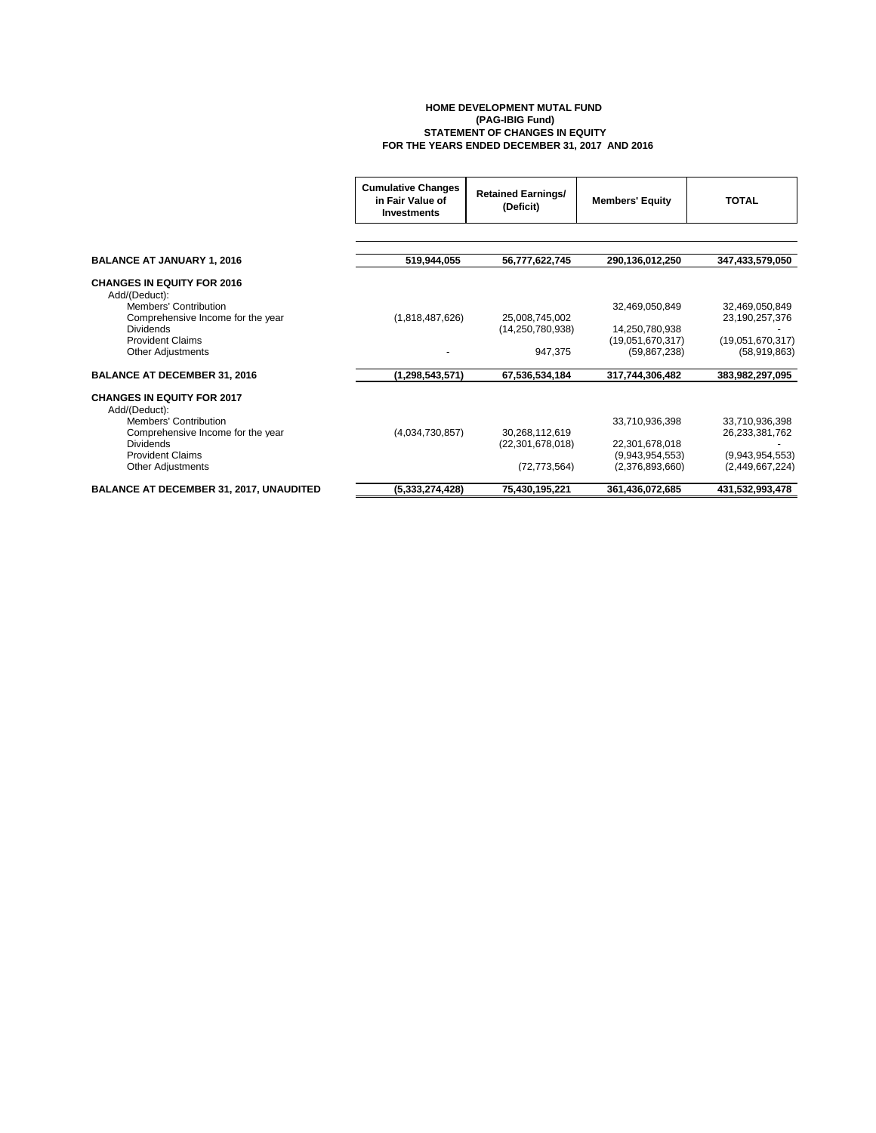## **HOME DEVELOPMENT MUTAL FUND (PAG-IBIG Fund) STATEMENT OF CHANGES IN EQUITY FOR THE YEARS ENDED DECEMBER 31, 2017 AND 2016**

|                                                    | <b>Cumulative Changes</b><br>in Fair Value of<br>Investments | <b>Retained Earnings/</b><br>(Deficit) | <b>Members' Equity</b> | TOTAL            |
|----------------------------------------------------|--------------------------------------------------------------|----------------------------------------|------------------------|------------------|
|                                                    |                                                              |                                        |                        |                  |
| <b>BALANCE AT JANUARY 1, 2016</b>                  | 519,944,055                                                  | 56,777,622,745                         | 290,136,012,250        | 347,433,579,050  |
| <b>CHANGES IN EQUITY FOR 2016</b><br>Add/(Deduct): |                                                              |                                        |                        |                  |
| Members' Contribution                              |                                                              |                                        | 32,469,050,849         | 32,469,050,849   |
| Comprehensive Income for the year                  | (1,818,487,626)                                              | 25.008.745.002                         |                        | 23,190,257,376   |
| <b>Dividends</b>                                   |                                                              | (14, 250, 780, 938)                    | 14,250,780,938         |                  |
| <b>Provident Claims</b>                            |                                                              |                                        | (19,051,670,317)       | (19,051,670,317) |
| <b>Other Adjustments</b>                           |                                                              | 947,375                                | (59, 867, 238)         | (58,919,863)     |
| <b>BALANCE AT DECEMBER 31, 2016</b>                | (1, 298, 543, 571)                                           | 67,536,534,184                         | 317,744,306,482        | 383,982,297,095  |
| <b>CHANGES IN EQUITY FOR 2017</b><br>Add/(Deduct): |                                                              |                                        |                        |                  |
| Members' Contribution                              |                                                              |                                        | 33,710,936,398         | 33,710,936,398   |
| Comprehensive Income for the year                  | (4,034,730,857)                                              | 30.268.112.619                         |                        | 26,233,381,762   |
| <b>Dividends</b>                                   |                                                              | (22, 301, 678, 018)                    | 22,301,678,018         |                  |
| <b>Provident Claims</b>                            |                                                              |                                        | (9,943,954,553)        | (9,943,954,553)  |
| <b>Other Adjustments</b>                           |                                                              | (72, 773, 564)                         | (2,376,893,660)        | (2,449,667,224)  |
| <b>BALANCE AT DECEMBER 31, 2017, UNAUDITED</b>     | (5,333,274,428)                                              | 75,430,195,221                         | 361,436,072,685        | 431,532,993,478  |